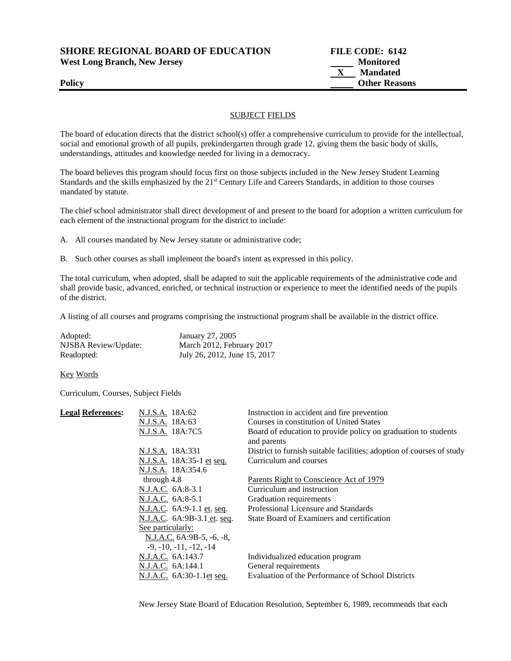**SHORE REGIONAL BOARD OF EDUCATION FILE CODE: 6142** 

West Long Branch, New Jersey **Monitored** Monitored

 **X Mandated Policy Other Reasons** 

## SUBJECT FIELDS

The board of education directs that the district school(s) offer a comprehensive curriculum to provide for the intellectual, social and emotional growth of all pupils, prekindergarten through grade 12, giving them the basic body of skills, understandings, attitudes and knowledge needed for living in a democracy.

The board believes this program should focus first on those subjects included in the New Jersey Student Learning Standards and the skills emphasized by the 21<sup>st</sup> Century Life and Careers Standards, in addition to those courses mandated by statute.

The chief school administrator shall direct development of and present to the board for adoption a written curriculum for each element of the instructional program for the district to include:

A. All courses mandated by New Jersey statute or administrative code;

B. Such other courses as shall implement the board's intent as expressed in this policy.

The total curriculum, when adopted, shall be adapted to suit the applicable requirements of the administrative code and shall provide basic, advanced, enriched, or technical instruction or experience to meet the identified needs of the pupils of the district.

A listing of all courses and programs comprising the instructional program shall be available in the district office.

| Adopted:             | January 27, 2005             |
|----------------------|------------------------------|
| NJSBA Review/Update: | March 2012, February 2017    |
| Readopted:           | July 26, 2012, June 15, 2017 |

Key Words

Curriculum, Courses, Subject Fields

| <b>Legal References:</b> | N.J.S.A. 18A:62             | Instruction in accident and fire prevention                                   |
|--------------------------|-----------------------------|-------------------------------------------------------------------------------|
|                          | N.J.S.A. 18A:63             | Courses in constitution of United States                                      |
|                          | N.J.S.A. 18A:7C5            | Board of education to provide policy on graduation to students<br>and parents |
|                          | N.J.S.A. 18A:331            | District to furnish suitable facilities; adoption of courses of study         |
|                          | N.J.S.A. 18A:35-1 et seq.   | Curriculum and courses                                                        |
|                          | N.J.S.A. 18A:354.6          |                                                                               |
|                          | through 4.8                 | Parents Right to Conscience Act of 1979                                       |
|                          | N.J.A.C. 6A:8-3.1           | Curriculum and instruction                                                    |
|                          | N.J.A.C. 6A:8-5.1           | Graduation requirements                                                       |
|                          | N.J.A.C. 6A:9-1.1 et. seq.  | Professional Licensure and Standards                                          |
|                          | N.J.A.C. 6A:9B-3.1 et. seq. | State Board of Examiners and certification                                    |
|                          | See particularly:           |                                                                               |
|                          | N.J.A.C. 6A:9B-5, -6, -8,   |                                                                               |
|                          | $-9, -10, -11, -12, -14$    |                                                                               |
|                          | N.J.A.C. 6A:143.7           | Individualized education program                                              |
|                          | N.J.A.C. 6A:144.1           | General requirements                                                          |
|                          | N.J.A.C. 6A:30-1.1et seq.   | Evaluation of the Performance of School Districts                             |
|                          |                             |                                                                               |

New Jersey State Board of Education Resolution, September 6, 1989, recommends that each